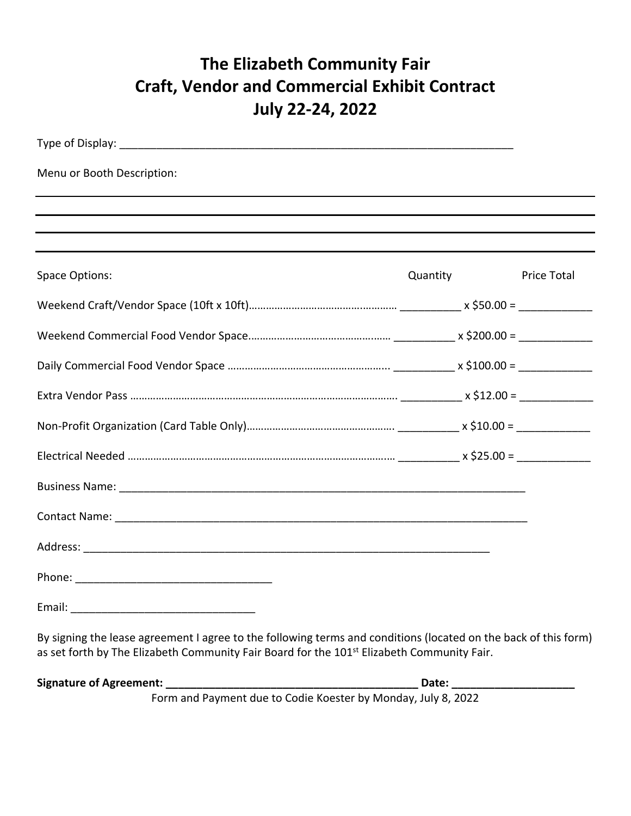## **The Elizabeth Community Fair Craft, Vendor and Commercial Exhibit Contract July 22-24, 2022**

| Quantity | <b>Price Total</b>                                                               |
|----------|----------------------------------------------------------------------------------|
|          |                                                                                  |
|          |                                                                                  |
|          |                                                                                  |
|          |                                                                                  |
|          |                                                                                  |
|          |                                                                                  |
|          |                                                                                  |
|          |                                                                                  |
|          |                                                                                  |
|          |                                                                                  |
|          |                                                                                  |
|          | ,我们也不会有什么。""我们的人,我们也不会有什么?""我们的人,我们也不会有什么?""我们的人,我们也不会有什么?""我们的人,我们也不会有什么?""我们的人 |

as set forth by The Elizabeth Community Fair Board for the 101<sup>st</sup> Elizabeth Community Fair.

**Signature of Agreement: \_\_\_\_\_\_\_\_\_\_\_\_\_\_\_\_\_\_\_\_\_\_\_\_\_\_\_\_\_\_\_\_\_\_\_\_\_\_\_\_\_ Date: \_\_\_\_\_\_\_\_\_\_\_\_\_\_\_\_\_\_\_\_**  Form and Payment due to Codie Koester by Monday, July 8, 2022